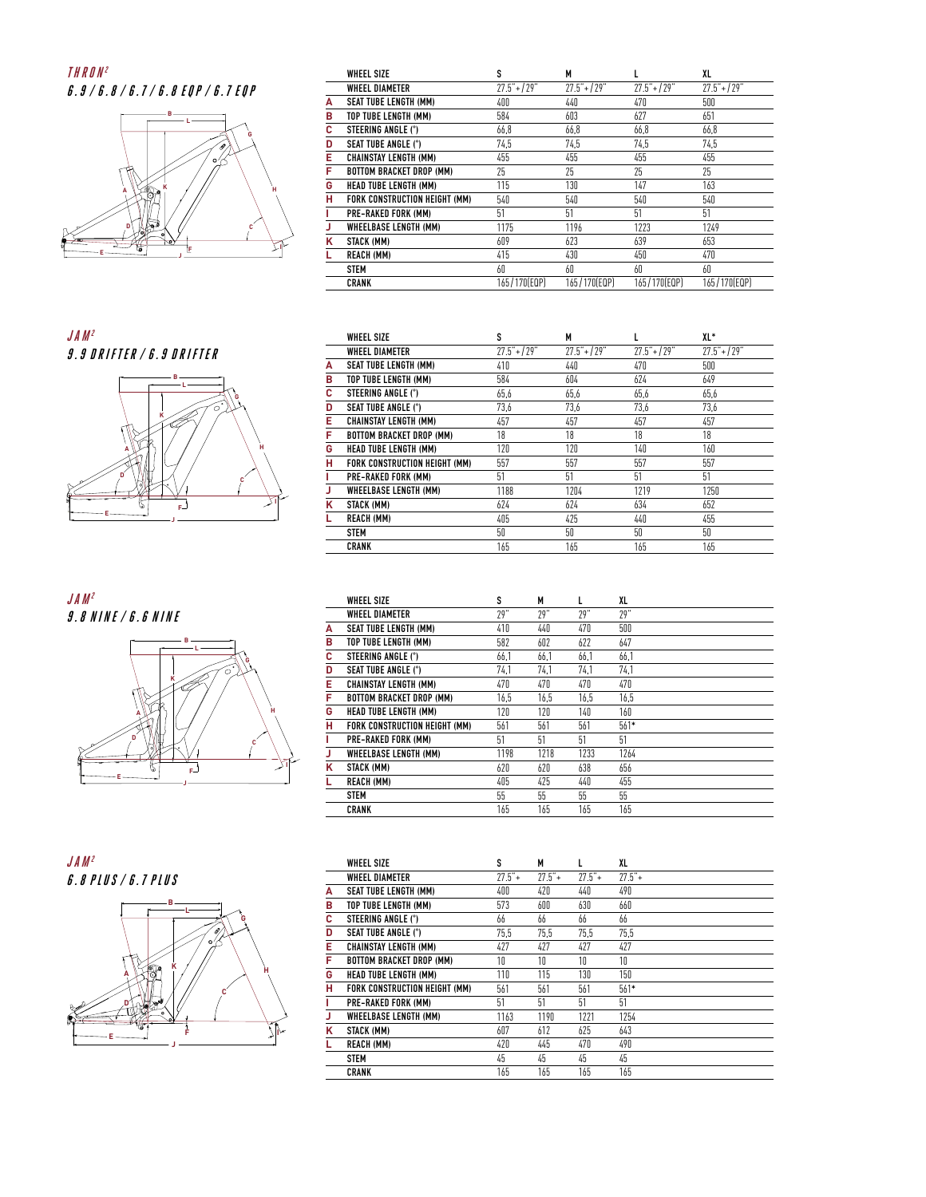## **THRON2 6.9/6.8 /6.7 /6.8 EQP /6.7 EQP**



**JAM2 9.9 DRIFTER/6.9 DRIFTER**











|   | <b>WHEEL SIZE</b>               | s              | M              |                | XL             |
|---|---------------------------------|----------------|----------------|----------------|----------------|
|   | <b><i>WHEEL DIAMETER</i></b>    | $27.5" + 129"$ | $27.5" + 129"$ | $27.5" + 129"$ | $27.5" + 129"$ |
| А | <b>SEAT TUBE LENGTH (MM)</b>    | 400            | 440            | 470            | 500            |
| в | TOP TUBE LENGTH (MM)            | 584            | 603            | 627            | 651            |
| c | STEERING ANGLE (°)              | 66,8           | 66,8           | 66,8           | 66,8           |
| D | <b>SEAT TUBE ANGLE (°)</b>      | 74.5           | 74,5           | 74.5           | 74,5           |
| E | <b>CHAINSTAY LENGTH (MM)</b>    | 455            | 455            | 455            | 455            |
| F | <b>BOTTOM BRACKET DROP (MM)</b> | 25             | 25             | 25             | 25             |
| G | <b>HEAD TUBE LENGTH (MM)</b>    | 115            | 130            | 147            | 163            |
| н | FORK CONSTRUCTION HEIGHT (MM)   | 540            | 540            | 540            | 540            |
| г | PRE-RAKED FORK (MM)             | 51             | 51             | 51             | 51             |
| J | <b>WHEELBASE LENGTH (MM)</b>    | 1175           | 1196           | 1223           | 1249           |
| κ | STACK (MM)                      | 609            | 623            | 639            | 653            |
| L | <b>REACH (MM)</b>               | 415            | 430            | 450            | 470            |
|   | <b>STEM</b>                     | 60             | 60             | 60             | 60             |
|   | <b>CRANK</b>                    | 165/170(EQP)   | 165/170(EQP)   | 165/170(EQP)   | 165/170(EQP)   |

|   | <b>WHEEL SIZE</b>               | s              | M              |                | XL*            |
|---|---------------------------------|----------------|----------------|----------------|----------------|
|   | WHEEL DIAMETER                  | $27.5" + 129"$ | $27.5" + 129"$ | $27.5" + 129"$ | $27.5" + 129"$ |
| A | <b>SEAT TUBE LENGTH (MM)</b>    | 410            | 440            | 470            | 500            |
| в | TOP TUBE LENGTH (MM)            | 584            | 604            | 624            | 649            |
| с | STEERING ANGLE (°)              | 65.6           | 65.6           | 65.6           | 65,6           |
| D | <b>SEAT TUBE ANGLE (°)</b>      | 73,6           | 73,6           | 73,6           | 73,6           |
| Е | <b>CHAINSTAY LENGTH (MM)</b>    | 457            | 457            | 457            | 457            |
| F | <b>BOTTOM BRACKET DROP (MM)</b> | 18             | 18             | 18             | 18             |
| G | <b>HEAD TUBE LENGTH (MM)</b>    | 120            | 120            | 140            | 160            |
| н | FORK CONSTRUCTION HEIGHT (MM)   | 557            | 557            | 557            | 557            |
|   | PRE-RAKED FORK (MM)             | 51             | 51             | 51             | 51             |
| J | WHEELBASE LENGTH (MM)           | 1188           | 1204           | 1219           | 1250           |
| κ | STACK (MM)                      | 624            | 624            | 634            | 652            |
|   | <b>REACH (MM)</b>               | 405            | 425            | 440            | 455            |
|   | <b>STEM</b>                     | 50             | 50             | 50             | 50             |
|   | <b>CRANK</b>                    | 165            | 165            | 165            | 165            |

|   | <b>WHEEL SIZE</b>               | s    | M    |      | XL     |
|---|---------------------------------|------|------|------|--------|
|   | <b><i>WHEEL DIAMETER</i></b>    | 79"  | 79"  | 79"  | 79"    |
| А | <b>SEAT TUBE LENGTH (MM)</b>    | 410  | 440  | 470  | 500    |
| В | TOP TUBE LENGTH (MM)            | 582  | 602  | 622  | 647    |
| c | STEERING ANGLE (°)              | 66,1 | 66,1 | 66,1 | 66,1   |
| D | <b>SEAT TUBE ANGLE (°)</b>      | 74.1 | 74.1 | 74.1 | 74.1   |
| E | <b>CHAINSTAY LENGTH (MM)</b>    | 470  | 470  | 470  | 470    |
| F | <b>BOTTOM BRACKET DROP (MM)</b> | 16,5 | 16,5 | 16,5 | 16,5   |
| G | <b>HEAD TUBE LENGTH (MM)</b>    | 120  | 120  | 140  | 160    |
| н | FORK CONSTRUCTION HEIGHT (MM)   | 561  | 561  | 561  | $561*$ |
| L | PRE-RAKED FORK (MM)             | 51   | 51   | 51   | 51     |
| J | WHEELBASE LENGTH (MM)           | 1198 | 1218 | 1233 | 1264   |
| ĸ | STACK (MM)                      | 620  | 620  | 638  | 656    |
| L | <b>REACH (MM)</b>               | 405  | 425  | 440  | 455    |
|   | <b>STEM</b>                     | 55   | 55   | 55   | 55     |
|   | <b>CRANK</b>                    | 165  | 165  | 165  | 165    |

|   | <b>WHEEL SIZE</b>               | s        | М        | L        | XL       |
|---|---------------------------------|----------|----------|----------|----------|
|   | <b><i>WHEEL DIAMETER</i></b>    | $27.5"+$ | $77.5"+$ | $77.5"+$ | $77.5"+$ |
| A | <b>SEAT TUBE LENGTH (MM)</b>    | 400      | 470      | 440      | 490      |
| в | TOP TUBE LENGTH (MM)            | 573      | 600      | 630      | 660      |
| c | STEERING ANGLE (°)              | 66       | 66       | 66       | 66       |
| D | <b>SEAT TUBE ANGLE (°)</b>      | 75.5     | 75.5     | 75.5     | 75.5     |
| Е | <b>CHAINSTAY LENGTH (MM)</b>    | 427      | 427      | 427      | 427      |
| F | <b>BOTTOM BRACKET DROP (MM)</b> | 10       | 10       | 10       | 10       |
| G | <b>HEAD TUBE LENGTH (MM)</b>    | 110      | 115      | 130      | 150      |
| н | FORK CONSTRUCTION HEIGHT (MM)   | 561      | 561      | 561      | $561*$   |
| ı | PRE-RAKED FORK (MM)             | 51       | 51       | 51       | 51       |
| J | <b>WHEELBASE LENGTH (MM)</b>    | 1163     | 1190     | 1221     | 1254     |
| κ | STACK (MM)                      | 607      | 612      | 625      | 643      |
| L | <b>REACH (MM)</b>               | 420      | 445      | 470      | 490      |
|   | <b>STEM</b>                     | 45       | 45       | 45       | 45       |
|   | <b>CRANK</b>                    | 165      | 165      | 165      | 165      |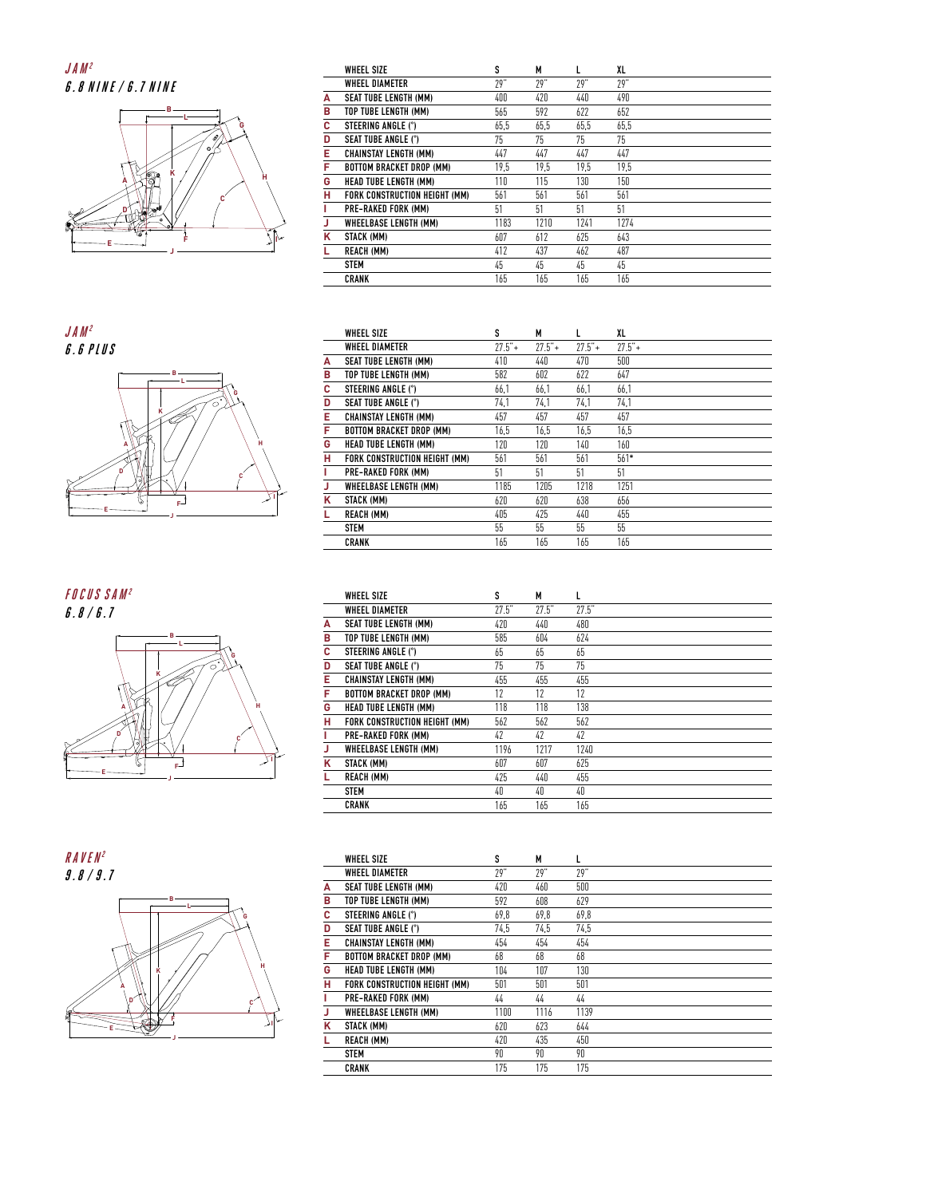## **JAM 2 6.8 NINE /6.7 NINE**



|   | <b>WHEEL SIZE</b>               | s    | М    | L    | XL   |  |
|---|---------------------------------|------|------|------|------|--|
|   | <b><i>WHEEL DIAMETER</i></b>    | 79"  | 79"  | 79"  | 79"  |  |
| А | <b>SEAT TUBE LENGTH (MM)</b>    | 400  | 420  | 440  | 490  |  |
| В | TOP TUBE LENGTH (MM)            | 565  | 592  | 622  | 652  |  |
| c | STEERING ANGLE (°)              | 65,5 | 65,5 | 65.5 | 65,5 |  |
| D | <b>SEAT TUBE ANGLE (°)</b>      | 75   | 75   | 75   | 75   |  |
| E | <b>CHAINSTAY LENGTH (MM)</b>    | 447  | 447  | 447  | 447  |  |
| F | <b>BOTTOM BRACKET DROP (MM)</b> | 19.5 | 19.5 | 19.5 | 19.5 |  |
| G | <b>HEAD TUBE LENGTH (MM)</b>    | 110  | 115  | 130  | 150  |  |
| H | FORK CONSTRUCTION HEIGHT (MM)   | 561  | 561  | 561  | 561  |  |
|   | <b>PRE-RAKED FORK (MM)</b>      | 51   | 51   | 51   | 51   |  |
| J | <b>WHEELBASE LENGTH (MM)</b>    | 1183 | 1210 | 1241 | 1274 |  |
| κ | STACK (MM)                      | 607  | 612  | 625  | 643  |  |
| L | <b>REACH (MM)</b>               | 412  | 437  | 462  | 487  |  |
|   | <b>STEM</b>                     | 45   | 45   | 45   | 45   |  |
|   | <b>CRANK</b>                    | 165  | 165  | 165  | 165  |  |

**B L G H F K C A D JAM 2 6.6 PLUS** 

**J**

**I**

**E**

**E**

| <b>FOCUS SAM<sup>2</sup></b><br>6.8/6.7 |
|-----------------------------------------|
| в<br>Ġ<br>O<br>κ<br>H                   |
| n<br>Ī                                  |

**J**

|   | <b>WHEEL SIZE</b>               | s        | М        |          | XL       |
|---|---------------------------------|----------|----------|----------|----------|
|   | WHEEL DIAMETER                  | $77.5"+$ | $77.5"+$ | $77.5"+$ | $77.5"+$ |
| A | <b>SEAT TUBE LENGTH (MM)</b>    | 410      | 440      | 470      | 500      |
| в | TOP TUBE LENGTH (MM)            | 582      | 602      | 622      | 647      |
| с | STEERING ANGLE (°)              | 66.1     | 66.1     | 66.1     | 66.1     |
| D | <b>SEAT TUBE ANGLE (°)</b>      | 74.1     | 74.1     | 74.1     | 74,1     |
| Е | <b>CHAINSTAY LENGTH (MM)</b>    | 457      | 457      | 457      | 457      |
| F | <b>BOTTOM BRACKET DROP (MM)</b> | 16.5     | 16.5     | 16.5     | 16.5     |
| G | <b>HEAD TUBE LENGTH (MM)</b>    | 120      | 120      | 140      | 160      |
| н | FORK CONSTRUCTION HEIGHT (MM)   | 561      | 561      | 561      | $561*$   |
| L | <b>PRE-RAKED FORK (MM)</b>      | 51       | 51       | 51       | 51       |
| J | <b>WHEELBASE LENGTH (MM)</b>    | 1185     | 1205     | 1218     | 1251     |
| ĸ | STACK (MM)                      | 620      | 620      | 638      | 656      |
| L | <b>REACH (MM)</b>               | 405      | 425      | 440      | 455      |
|   | <b>STEM</b>                     | 55       | 55       | 55       | 55       |
|   | <b>CRANK</b>                    | 165      | 165      | 165      | 165      |
|   |                                 |          |          |          |          |

|   | <b>WHEEL SIZE</b>               | S     | М     | L     |
|---|---------------------------------|-------|-------|-------|
|   | WHEEL DIAMETER                  | 27.5" | 77.5" | 27.5" |
| A | <b>SEAT TUBE LENGTH (MM)</b>    | 420   | 440   | 480   |
| в | TOP TUBE LENGTH (MM)            | 585   | 604   | 624   |
| с | STEERING ANGLE (°)              | 65    | 65    | 65    |
| D | <b>SEAT TUBE ANGLE (°)</b>      | 75    | 75    | 75    |
| Е | <b>CHAINSTAY LENGTH (MM)</b>    | 455   | 455   | 455   |
| F | <b>BOTTOM BRACKET DROP (MM)</b> | 12    | 12    | 12    |
| G | <b>HEAD TUBE LENGTH (MM)</b>    | 118   | 118   | 138   |
| н | FORK CONSTRUCTION HEIGHT (MM)   | 562   | 562   | 562   |
|   | <b>PRE-RAKED FORK (MM)</b>      | 47    | 47    | 47    |
| J | <b>WHEELBASE LENGTH (MM)</b>    | 1196  | 1217  | 1240  |
| κ | STACK (MM)                      | 607   | 607   | 625   |
|   | <b>REACH (MM)</b>               | 475   | 440   | 455   |
|   | <b>STEM</b>                     | 40    | 40    | 40    |
|   | <b>CRANK</b>                    | 165   | 165   | 165   |



|   | <b>WHEEL SIZE</b>               | s    | М    | L    |  |
|---|---------------------------------|------|------|------|--|
|   | WHEEL DIAMETER                  | 79"  | 79"  | 79"  |  |
| A | <b>SEAT TUBE LENGTH (MM)</b>    | 420  | 460  | 500  |  |
| в | TOP TUBE LENGTH (MM)            | 592  | 608  | 629  |  |
| с | STEERING ANGLE (°)              | 69,8 | 69,8 | 69,8 |  |
| D | <b>SEAT TUBE ANGLE (°)</b>      | 74.5 | 74.5 | 74.5 |  |
| Е | <b>CHAINSTAY LENGTH (MM)</b>    | 454  | 454  | 454  |  |
| F | <b>BOTTOM BRACKET DROP (MM)</b> | 68   | 68   | 68   |  |
| G | <b>HEAD TUBE LENGTH (MM)</b>    | 104  | 107  | 130  |  |
| н | FORK CONSTRUCTION HEIGHT (MM)   | 501  | 501  | 501  |  |
| L | PRE-RAKED FORK (MM)             | 44   | 44   | 44   |  |
| J | <b>WHEELBASE LENGTH (MM)</b>    | 1100 | 1116 | 1139 |  |
| κ | STACK (MM)                      | 620  | 623  | 644  |  |
| L | <b>REACH (MM)</b>               | 420  | 435  | 450  |  |
|   | <b>STEM</b>                     | 90   | 90   | 90   |  |
|   | <b>CRANK</b>                    | 175  | 175  | 175  |  |